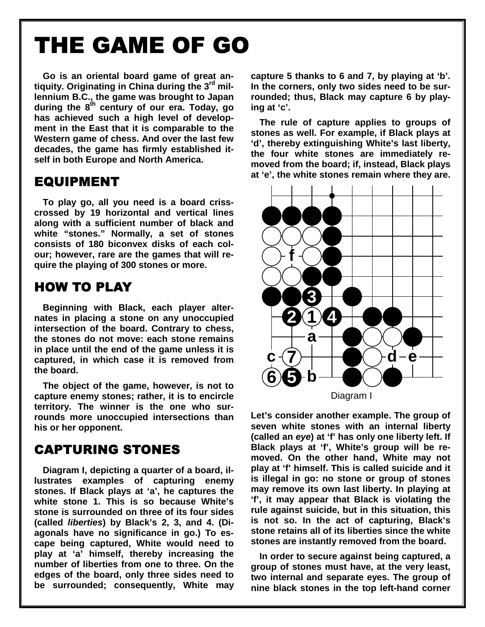# THE GAME OF GO

**Go is an oriental board game of great antiquity. Originating in China during the 3rd millennium B.C., the game was brought to Japan**  during the 8<sup>th</sup> century of our era. Today, go **has achieved such a high level of development in the East that it is comparable to the Western game of chess. And over the last few decades, the game has firmly established itself in both Europe and North America.** 

#### **EQUIPMENT**

**To play go, all you need is a board crisscrossed by 19 horizontal and vertical lines along with a sufficient number of black and white "stones." Normally, a set of stones consists of 180 biconvex disks of each colour; however, rare are the games that will require the playing of 300 stones or more.** 

## **HOW TO PLAY**

**Beginning with Black, each player alternates in placing a stone on any unoccupied intersection of the board. Contrary to chess, the stones do not move: each stone remains in place until the end of the game unless it is captured, in which case it is removed from the board.** 

**The object of the game, however, is not to capture enemy stones; rather, it is to encircle territory. The winner is the one who surrounds more unoccupied intersections than his or her opponent.** 

## **CAPTURING STONES**

**Diagram I, depicting a quarter of a board, illustrates examples of capturing enemy stones. If Black plays at 'a', he captures the white stone 1. This is so because White's stone is surrounded on three of its four sides (called liberties) by Black's 2, 3, and 4. (Diagonals have no significance in go.) To escape being captured, White would need to play at 'a' himself, thereby increasing the number of liberties from one to three. On the edges of the board, only three sides need to be surrounded; consequently, White may**  **capture 5 thanks to 6 and 7, by playing at 'b'. In the corners, only two sides need to be surrounded; thus, Black may capture 6 by playing at 'c'.** 

**The rule of capture applies to groups of stones as well. For example, if Black plays at 'd', thereby extinguishing White's last liberty, the four white stones are immediately removed from the board; if, instead, Black plays at 'e', the white stones remain where they are.** 



**Let's consider another example. The group of seven white stones with an internal liberty (called an eye) at 'f' has only one liberty left. If Black plays at 'f', White's group will be removed. On the other hand, White may not play at 'f' himself. This is called suicide and it is illegal in go: no stone or group of stones may remove its own last liberty. In playing at 'f', it may appear that Black is violating the rule against suicide, but in this situation, this is not so. In the act of capturing, Black's stone retains all of its liberties since the white stones are instantly removed from the board.** 

**In order to secure against being captured, a group of stones must have, at the very least, two internal and separate eyes. The group of nine black stones in the top left-hand corner**